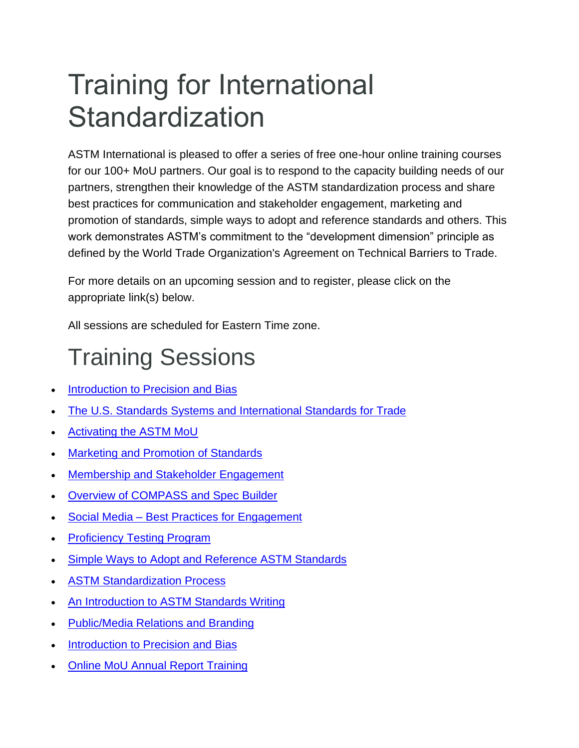# Training for International **Standardization**

ASTM International is pleased to offer a series of free one-hour online training courses for our 100+ MoU partners. Our goal is to respond to the capacity building needs of our partners, strengthen their knowledge of the ASTM standardization process and share best practices for communication and stakeholder engagement, marketing and promotion of standards, simple ways to adopt and reference standards and others. This work demonstrates ASTM's commitment to the "development dimension" principle as defined by the World Trade Organization's Agreement on Technical Barriers to Trade.

For more details on an upcoming session and to register, please click on the appropriate link(s) below.

All sessions are scheduled for Eastern Time zone.

# Training Sessions

- **[Introduction to Precision and Bias](#page-8-0)**
- [The U.S. Standards Systems and International Standards for Trade](#page-2-0)
- [Activating the ASTM MoU](#page-1-0)
- [Marketing and Promotion of Standards](#page-3-0)
- [Membership and Stakeholder Engagement](#page-3-1)
- [Overview of COMPASS and Spec Builder](#page-4-0)
- Social Media [Best Practices for Engagement](#page-5-0)
- **[Proficiency Testing Program](#page-5-1)**
- [Simple Ways to Adopt and Reference ASTM Standards](#page-6-0)
- **[ASTM Standardization Process](#page-6-1)**
- [An Introduction to ASTM Standards Writing](#page-7-0)
- [Public/Media Relations and Branding](#page-7-1)
- [Introduction to Precision and Bias](#page-8-0)
- [Online MoU Annual Report Training](#page-9-0)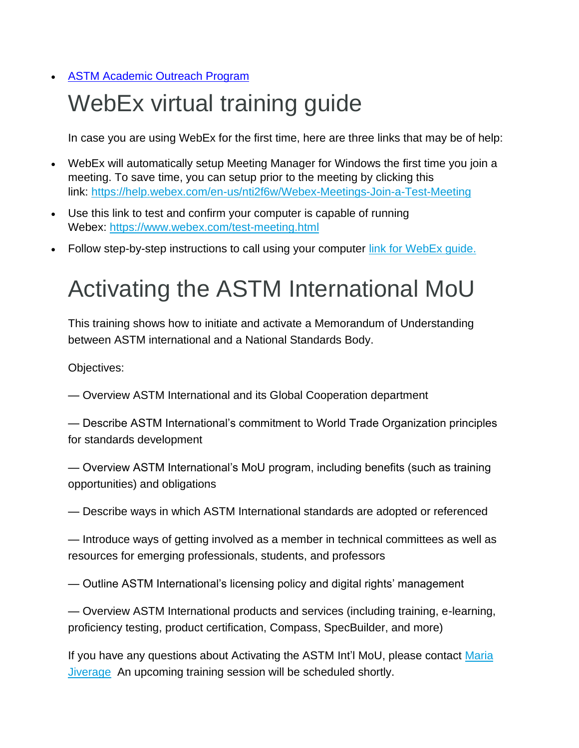#### **[ASTM Academic Outreach Program](#page-10-0)**

# WebEx virtual training guide

In case you are using WebEx for the first time, here are three links that may be of help:

- WebEx will automatically setup Meeting Manager for Windows the first time you join a meeting. To save time, you can setup prior to the meeting by clicking this link: <https://help.webex.com/en-us/nti2f6w/Webex-Meetings-Join-a-Test-Meeting>
- Use this link to test and confirm your computer is capable of running Webex: <https://www.webex.com/test-meeting.html>
- Follow step-by-step instructions to call using your computer [link for WebEx guide.](https://www.astm.org/IMAGES03/Webex_User_Guide00.pdf)

# <span id="page-1-0"></span>Activating the ASTM International MoU

This training shows how to initiate and activate a Memorandum of Understanding between ASTM international and a National Standards Body.

Objectives:

— Overview ASTM International and its Global Cooperation department

— Describe ASTM International's commitment to World Trade Organization principles for standards development

— Overview ASTM International's MoU program, including benefits (such as training opportunities) and obligations

— Describe ways in which ASTM International standards are adopted or referenced

— Introduce ways of getting involved as a member in technical committees as well as resources for emerging professionals, students, and professors

— Outline ASTM International's licensing policy and digital rights' management

— Overview ASTM International products and services (including training, e-learning, proficiency testing, product certification, Compass, SpecBuilder, and more)

If you have any questions about Activating the ASTM Int'l MoU, please contact Maria [Jiverage](mailto:mjiverage@astm.org) An upcoming training session will be scheduled shortly.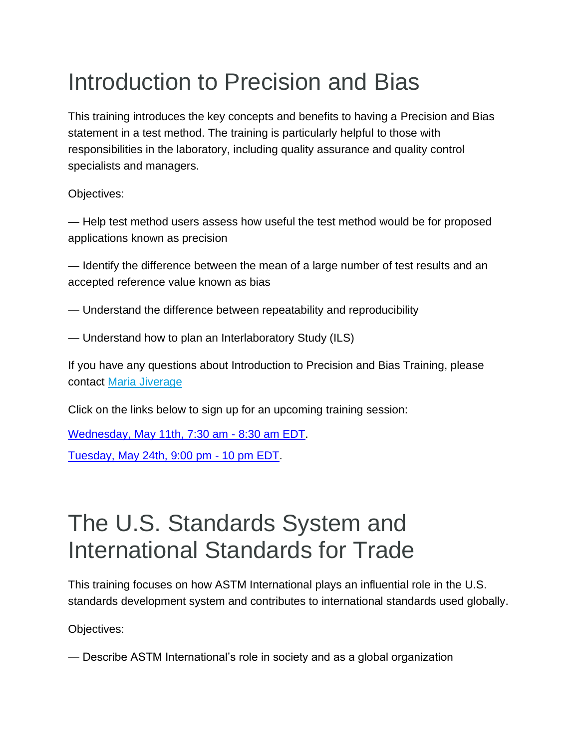# <span id="page-2-0"></span>Introduction to Precision and Bias

This training introduces the key concepts and benefits to having a Precision and Bias statement in a test method. The training is particularly helpful to those with responsibilities in the laboratory, including quality assurance and quality control specialists and managers.

Objectives:

— Help test method users assess how useful the test method would be for proposed applications known as precision

— Identify the difference between the mean of a large number of test results and an accepted reference value known as bias

- Understand the difference between repeatability and reproducibility
- Understand how to plan an Interlaboratory Study (ILS)

If you have any questions about Introduction to Precision and Bias Training, please contact [Maria Jiverage](mailto:mjiverage@astm.org)

Click on the links below to sign up for an upcoming training session:

[Wednesday, May 11th, 7:30 am -](https://astm.webex.com/astm/k2/j.php?MTID=t9bbafbfdc4d17b6041781d8926f1a8e3) 8:30 am EDT. [Tuesday, May 24th, 9:00 pm -](https://astm-org.zoom.us/meeting/register/tZcuc-qtqzgsE9y0GPOJoiR9ijGe8W8W_Wnw) 10 pm EDT.

#### The U.S. Standards System and International Standards for Trade

This training focuses on how ASTM International plays an influential role in the U.S. standards development system and contributes to international standards used globally.

Objectives:

— Describe ASTM International's role in society and as a global organization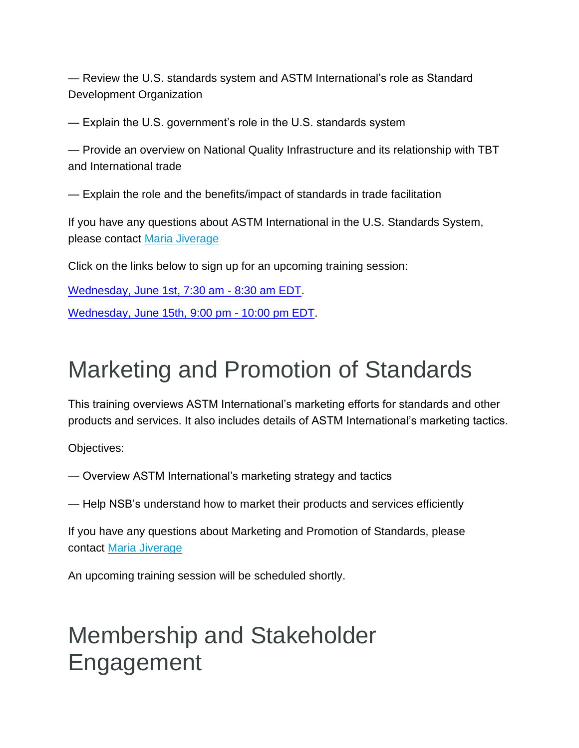— Review the U.S. standards system and ASTM International's role as Standard Development Organization

— Explain the U.S. government's role in the U.S. standards system

— Provide an overview on National Quality Infrastructure and its relationship with TBT and International trade

— Explain the role and the benefits/impact of standards in trade facilitation

If you have any questions about ASTM International in the U.S. Standards System, please contact [Maria Jiverage](mailto:mjiverage@astm.org)

Click on the links below to sign up for an upcoming training session:

<span id="page-3-0"></span>[Wednesday, June 1st, 7:30 am -](https://astm.webex.com/astm/k2/j.php?MTID=t87b36e8937990a39b0bf56188c021886) 8:30 am EDT.

[Wednesday, June 15th, 9:00 pm -](https://astm-org.zoom.us/meeting/register/tZUqf-yhqj4oE9252Z1QDgxTcFWfVff8ZIHd) 10:00 pm EDT.

#### Marketing and Promotion of Standards

This training overviews ASTM International's marketing efforts for standards and other products and services. It also includes details of ASTM International's marketing tactics.

Objectives:

— Overview ASTM International's marketing strategy and tactics

— Help NSB's understand how to market their products and services efficiently

If you have any questions about Marketing and Promotion of Standards, please contact [Maria Jiverage](mailto:mjiverage@astm.org)

An upcoming training session will be scheduled shortly.

#### <span id="page-3-1"></span>Membership and Stakeholder Engagement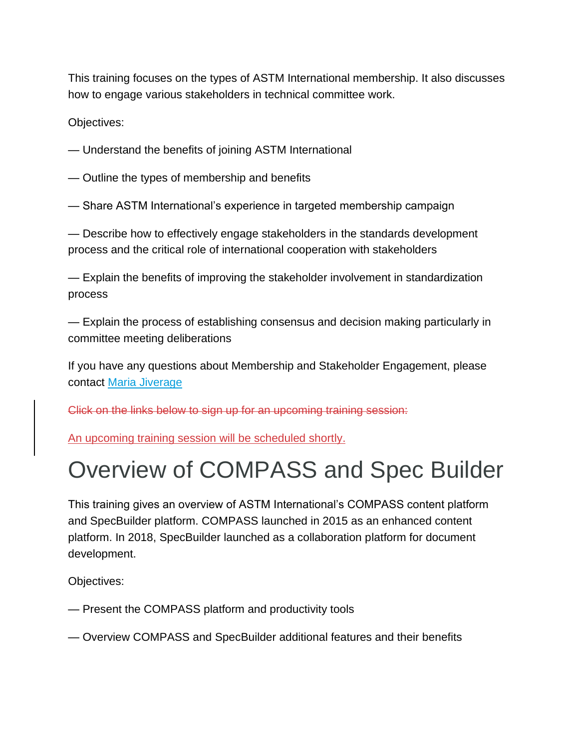This training focuses on the types of ASTM International membership. It also discusses how to engage various stakeholders in technical committee work.

Objectives:

- Understand the benefits of joining ASTM International
- Outline the types of membership and benefits
- Share ASTM International's experience in targeted membership campaign

— Describe how to effectively engage stakeholders in the standards development process and the critical role of international cooperation with stakeholders

— Explain the benefits of improving the stakeholder involvement in standardization process

— Explain the process of establishing consensus and decision making particularly in committee meeting deliberations

If you have any questions about Membership and Stakeholder Engagement, please contact [Maria Jiverage](mailto:mjiverage@astm.org)

Click on the links below to sign up for an upcoming training session:

<span id="page-4-0"></span>An upcoming training session will be scheduled shortly.

# Overview of COMPASS and Spec Builder

This training gives an overview of ASTM International's COMPASS content platform and SpecBuilder platform. COMPASS launched in 2015 as an enhanced content platform. In 2018, SpecBuilder launched as a collaboration platform for document development.

Objectives:

- Present the COMPASS platform and productivity tools
- Overview COMPASS and SpecBuilder additional features and their benefits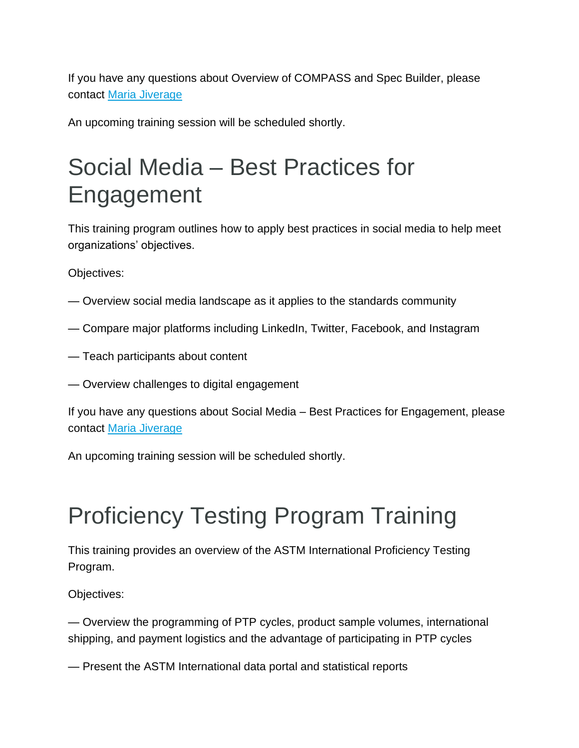If you have any questions about Overview of COMPASS and Spec Builder, please contact [Maria Jiverage](mailto:mjiverage@astm.org)

An upcoming training session will be scheduled shortly.

# <span id="page-5-0"></span>Social Media – Best Practices for Engagement

This training program outlines how to apply best practices in social media to help meet organizations' objectives.

Objectives:

- Overview social media landscape as it applies to the standards community
- Compare major platforms including LinkedIn, Twitter, Facebook, and Instagram
- Teach participants about content
- Overview challenges to digital engagement

If you have any questions about Social Media – Best Practices for Engagement, please contact [Maria Jiverage](mailto:mjiverage@astm.org)

An upcoming training session will be scheduled shortly.

# <span id="page-5-1"></span>Proficiency Testing Program Training

This training provides an overview of the ASTM International Proficiency Testing Program.

Objectives:

— Overview the programming of PTP cycles, product sample volumes, international shipping, and payment logistics and the advantage of participating in PTP cycles

— Present the ASTM International data portal and statistical reports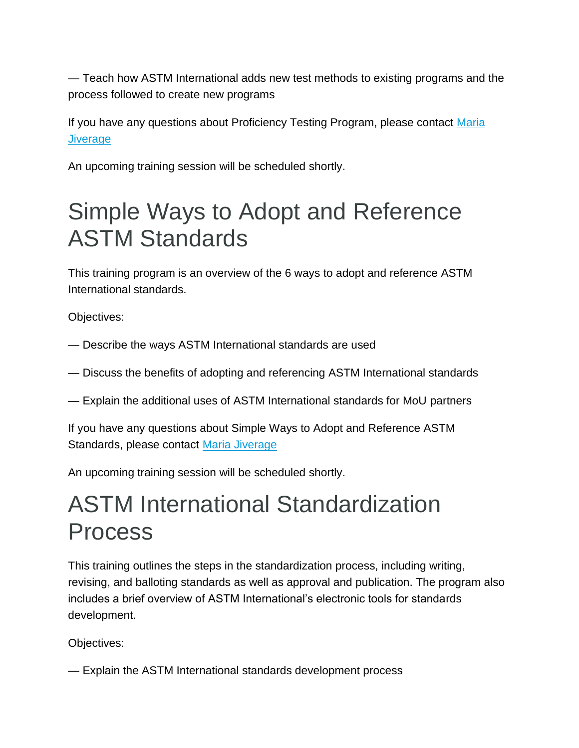— Teach how ASTM International adds new test methods to existing programs and the process followed to create new programs

If you have any questions about Proficiency Testing Program, please contact [Maria](mailto:mjiverage@astm.org)  **[Jiverage](mailto:mjiverage@astm.org)** 

An upcoming training session will be scheduled shortly.

#### <span id="page-6-0"></span>Simple Ways to Adopt and Reference ASTM Standards

This training program is an overview of the 6 ways to adopt and reference ASTM International standards.

Objectives:

— Describe the ways ASTM International standards are used

— Discuss the benefits of adopting and referencing ASTM International standards

— Explain the additional uses of ASTM International standards for MoU partners

If you have any questions about Simple Ways to Adopt and Reference ASTM Standards, please contact [Maria Jiverage](mailto:mjiverage@astm.org)

An upcoming training session will be scheduled shortly.

#### <span id="page-6-1"></span>ASTM International Standardization Process

This training outlines the steps in the standardization process, including writing, revising, and balloting standards as well as approval and publication. The program also includes a brief overview of ASTM International's electronic tools for standards development.

Objectives:

— Explain the ASTM International standards development process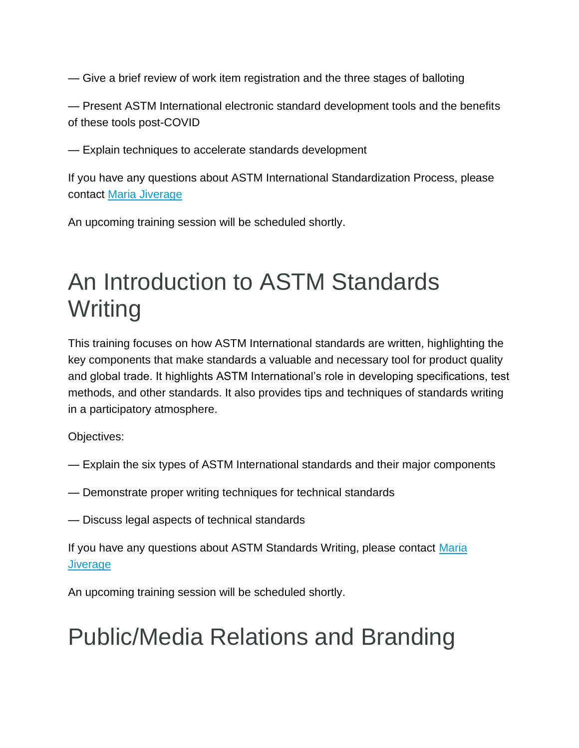— Give a brief review of work item registration and the three stages of balloting

— Present ASTM International electronic standard development tools and the benefits of these tools post-COVID

— Explain techniques to accelerate standards development

If you have any questions about ASTM International Standardization Process, please contact [Maria Jiverage](mailto:mjiverage@astm.org)

<span id="page-7-0"></span>An upcoming training session will be scheduled shortly.

#### An Introduction to ASTM Standards **Writing**

This training focuses on how ASTM International standards are written, highlighting the key components that make standards a valuable and necessary tool for product quality and global trade. It highlights ASTM International's role in developing specifications, test methods, and other standards. It also provides tips and techniques of standards writing in a participatory atmosphere.

Objectives:

- Explain the six types of ASTM International standards and their major components
- Demonstrate proper writing techniques for technical standards
- Discuss legal aspects of technical standards

If you have any questions about ASTM Standards Writing, please contact Maria **[Jiverage](mailto:mjiverage@astm.org)** 

An upcoming training session will be scheduled shortly.

#### <span id="page-7-1"></span>Public/Media Relations and Branding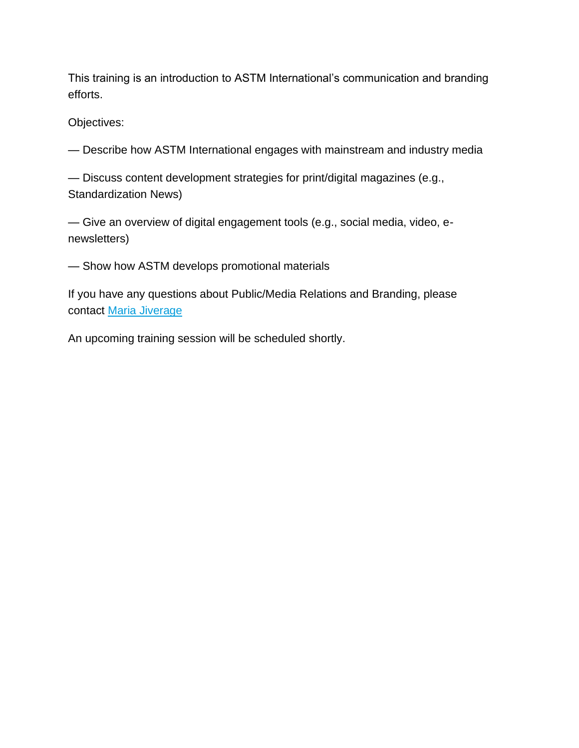This training is an introduction to ASTM International's communication and branding efforts.

Objectives:

— Describe how ASTM International engages with mainstream and industry media

— Discuss content development strategies for print/digital magazines (e.g., Standardization News)

— Give an overview of digital engagement tools (e.g., social media, video, enewsletters)

— Show how ASTM develops promotional materials

If you have any questions about Public/Media Relations and Branding, please contact [Maria Jiverage](mailto:mjiverage@astm.org)

<span id="page-8-0"></span>An upcoming training session will be scheduled shortly.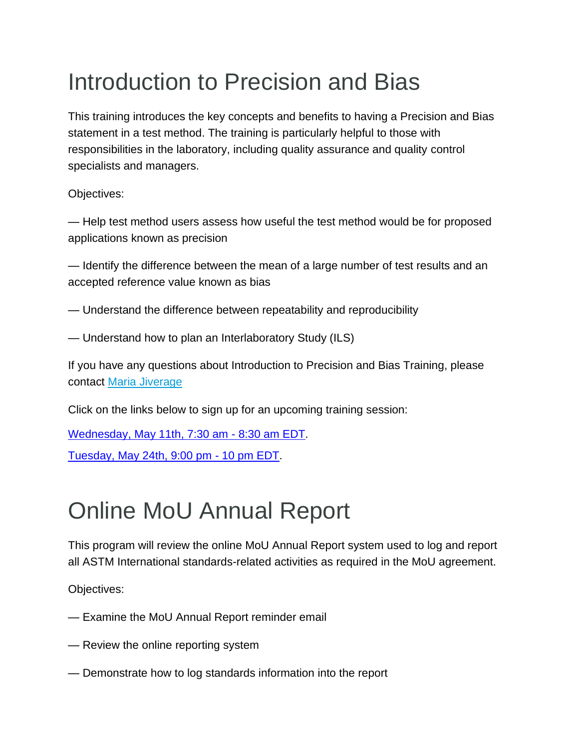# Introduction to Precision and Bias

This training introduces the key concepts and benefits to having a Precision and Bias statement in a test method. The training is particularly helpful to those with responsibilities in the laboratory, including quality assurance and quality control specialists and managers.

Objectives:

— Help test method users assess how useful the test method would be for proposed applications known as precision

— Identify the difference between the mean of a large number of test results and an accepted reference value known as bias

- Understand the difference between repeatability and reproducibility
- Understand how to plan an Interlaboratory Study (ILS)

If you have any questions about Introduction to Precision and Bias Training, please contact [Maria Jiverage](mailto:mjiverage@astm.org)

Click on the links below to sign up for an upcoming training session:

[Wednesday, May 11th, 7:30 am -](https://astm.webex.com/astm/k2/j.php?MTID=t9bbafbfdc4d17b6041781d8926f1a8e3) 8:30 am EDT.

[Tuesday, May 24th, 9:00 pm -](https://astm-org.zoom.us/meeting/register/tZcuc-qtqzgsE9y0GPOJoiR9ijGe8W8W_Wnw) 10 pm EDT.

# <span id="page-9-0"></span>Online MoU Annual Report

This program will review the online MoU Annual Report system used to log and report all ASTM International standards-related activities as required in the MoU agreement.

Objectives:

- Examine the MoU Annual Report reminder email
- Review the online reporting system
- Demonstrate how to log standards information into the report